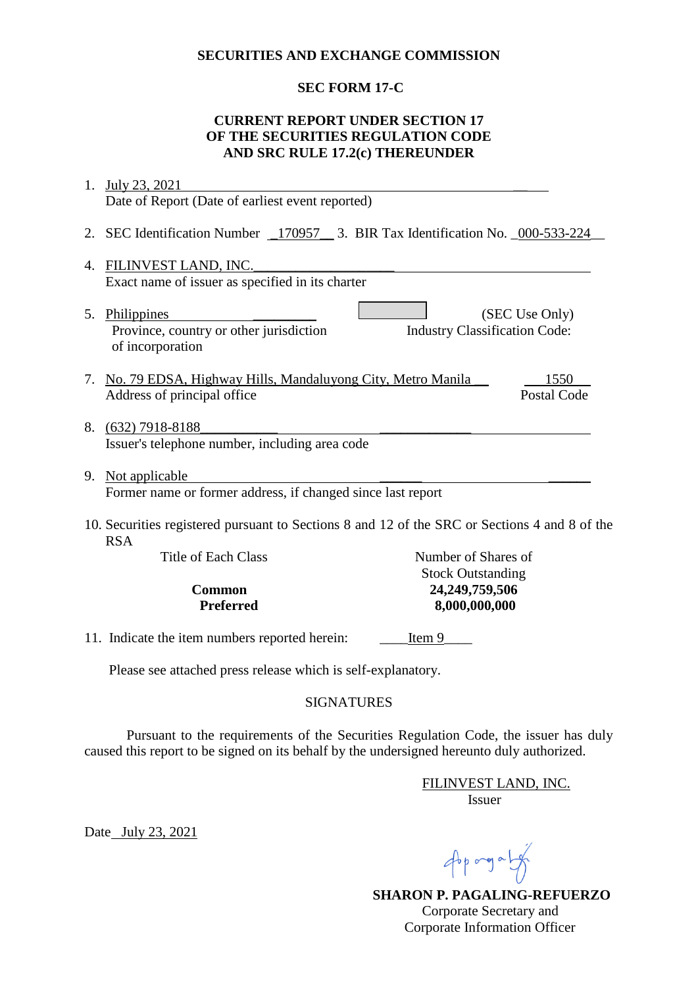#### **SECURITIES AND EXCHANGE COMMISSION**

## **SEC FORM 17-C**

## **CURRENT REPORT UNDER SECTION 17 OF THE SECURITIES REGULATION CODE AND SRC RULE 17.2(c) THEREUNDER**

| 1.                                                                                                          | July 23, 2021                                                                             |                                                 |                            |  |
|-------------------------------------------------------------------------------------------------------------|-------------------------------------------------------------------------------------------|-------------------------------------------------|----------------------------|--|
|                                                                                                             | Date of Report (Date of earliest event reported)                                          |                                                 |                            |  |
| 2.                                                                                                          | SEC Identification Number _170957 __ 3. BIR Tax Identification No. _000-533-224           |                                                 |                            |  |
| 4.                                                                                                          | FILINVEST LAND, INC.<br>Exact name of issuer as specified in its charter                  |                                                 |                            |  |
|                                                                                                             | 5. Philippines<br>Province, country or other jurisdiction<br>of incorporation             | <b>Industry Classification Code:</b>            | (SEC Use Only)             |  |
| 7.                                                                                                          | No. 79 EDSA, Highway Hills, Mandaluyong City, Metro Manila<br>Address of principal office |                                                 | 1550<br><b>Postal Code</b> |  |
|                                                                                                             | 8. (632) 7918-8188<br>Issuer's telephone number, including area code                      |                                                 |                            |  |
| 9.                                                                                                          | Not applicable<br>Former name or former address, if changed since last report             |                                                 |                            |  |
| 10. Securities registered pursuant to Sections 8 and 12 of the SRC or Sections 4 and 8 of the<br><b>RSA</b> |                                                                                           |                                                 |                            |  |
|                                                                                                             | <b>Title of Each Class</b>                                                                | Number of Shares of<br><b>Stock Outstanding</b> |                            |  |
|                                                                                                             | 24,249,759,506<br><b>Common</b>                                                           |                                                 |                            |  |
|                                                                                                             | <b>Preferred</b>                                                                          | 8,000,000,000                                   |                            |  |
|                                                                                                             | 11. Indicate the item numbers reported herein:<br>Item 9                                  |                                                 |                            |  |
|                                                                                                             | Please see attached press release which is self-explanatory.                              |                                                 |                            |  |

## SIGNATURES

Pursuant to the requirements of the Securities Regulation Code, the issuer has duly caused this report to be signed on its behalf by the undersigned hereunto duly authorized.

> FILINVEST LAND, INC. Issuer

Date July 23, 2021

 $46p$  ang a  $14p$ 

 **SHARON P. PAGALING-REFUERZO** Corporate Secretary and Corporate Information Officer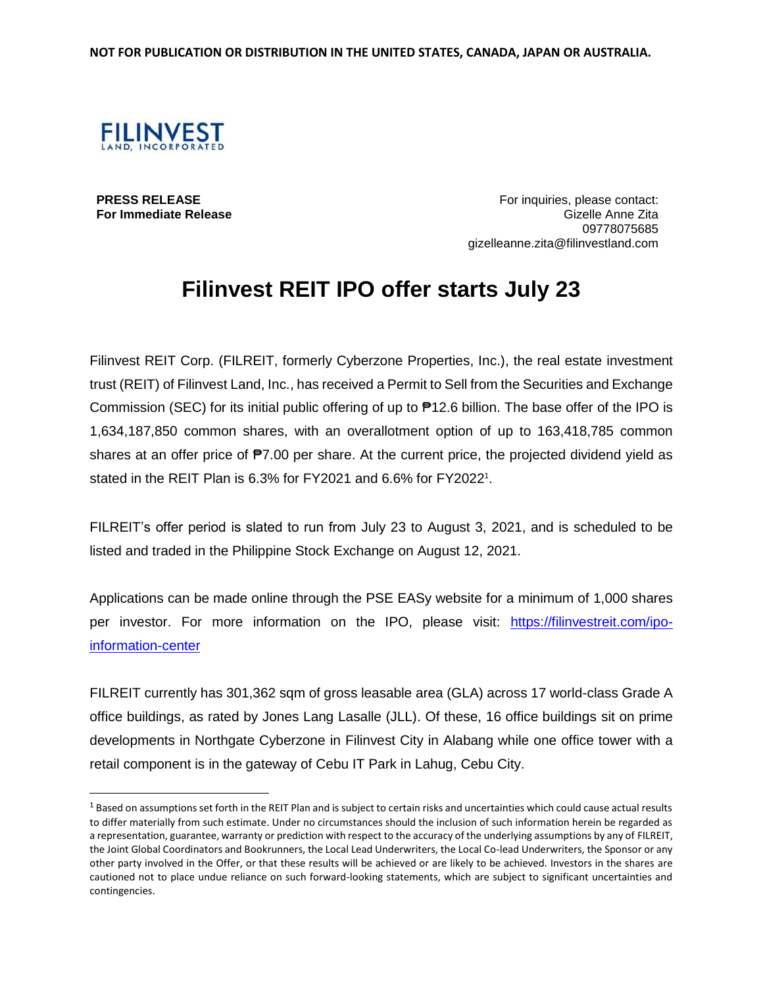

**PRESS RELEASE For Immediate Release**

 $\overline{\phantom{a}}$ 

For inquiries, please contact: Gizelle Anne Zita 09778075685 gizelleanne.zita@filinvestland.com

# **Filinvest REIT IPO offer starts July 23**

Filinvest REIT Corp. (FILREIT, formerly Cyberzone Properties, Inc.), the real estate investment trust (REIT) of Filinvest Land, Inc., has received a Permit to Sell from the Securities and Exchange Commission (SEC) for its initial public offering of up to ₱12.6 billion. The base offer of the IPO is 1,634,187,850 common shares, with an overallotment option of up to 163,418,785 common shares at an offer price of  $P7.00$  per share. At the current price, the projected dividend yield as stated in the REIT Plan is 6.3% for FY2021 and 6.6% for FY2022<sup>1</sup>.

FILREIT's offer period is slated to run from July 23 to August 3, 2021, and is scheduled to be listed and traded in the Philippine Stock Exchange on August 12, 2021.

Applications can be made online through the PSE EASy website for a minimum of 1,000 shares per investor. For more information on the IPO, please visit: [https://filinvestreit.com/ipo](https://filinvestreit.com/ipo-information-center)[information-center](https://filinvestreit.com/ipo-information-center)

FILREIT currently has 301,362 sqm of gross leasable area (GLA) across 17 world-class Grade A office buildings, as rated by Jones Lang Lasalle (JLL). Of these, 16 office buildings sit on prime developments in Northgate Cyberzone in Filinvest City in Alabang while one office tower with a retail component is in the gateway of Cebu IT Park in Lahug, Cebu City.

 $1$  Based on assumptions set forth in the REIT Plan and is subject to certain risks and uncertainties which could cause actual results to differ materially from such estimate. Under no circumstances should the inclusion of such information herein be regarded as a representation, guarantee, warranty or prediction with respect to the accuracy of the underlying assumptions by any of FILREIT, the Joint Global Coordinators and Bookrunners, the Local Lead Underwriters, the Local Co-lead Underwriters, the Sponsor or any other party involved in the Offer, or that these results will be achieved or are likely to be achieved. Investors in the shares are cautioned not to place undue reliance on such forward-looking statements, which are subject to significant uncertainties and contingencies.